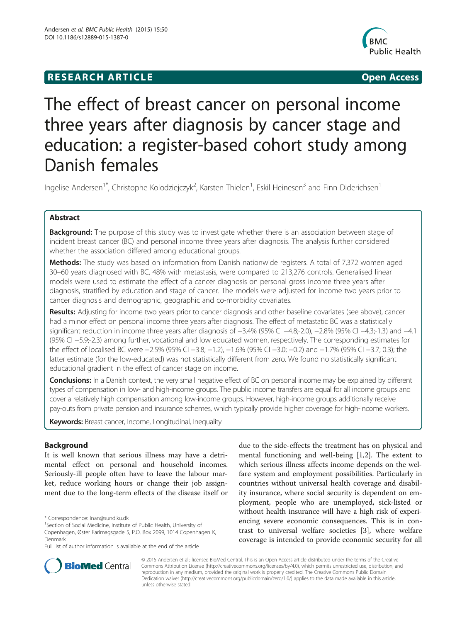# **RESEARCH ARTICLE Example 2014 12:30 The SEAR CHIPS 2014 12:30 The Open Access**



# The effect of breast cancer on personal income three years after diagnosis by cancer stage and education: a register-based cohort study among Danish females

Ingelise Andersen<sup>1\*</sup>, Christophe Kolodziejczyk<sup>2</sup>, Karsten Thielen<sup>1</sup>, Eskil Heinesen<sup>3</sup> and Finn Diderichsen<sup>1</sup>

# Abstract

**Background:** The purpose of this study was to investigate whether there is an association between stage of incident breast cancer (BC) and personal income three years after diagnosis. The analysis further considered whether the association differed among educational groups.

Methods: The study was based on information from Danish nationwide registers. A total of 7,372 women aged 30–60 years diagnosed with BC, 48% with metastasis, were compared to 213,276 controls. Generalised linear models were used to estimate the effect of a cancer diagnosis on personal gross income three years after diagnosis, stratified by education and stage of cancer. The models were adjusted for income two years prior to cancer diagnosis and demographic, geographic and co-morbidity covariates.

Results: Adjusting for income two years prior to cancer diagnosis and other baseline covariates (see above), cancer had a minor effect on personal income three years after diagnosis. The effect of metastatic BC was a statistically significant reduction in income three years after diagnosis of −3.4% (95% CI −4.8;-2.0), −2.8% (95% CI −4.3;-1.3) and −4.1 (95% CI −5.9;-2.3) among further, vocational and low educated women, respectively. The corresponding estimates for the effect of localised BC were −2.5% (95% CI −3.8; −1.2), −1.6% (95% CI −3.0; −0.2) and −1.7% (95% CI −3.7; 0.3); the latter estimate (for the low-educated) was not statistically different from zero. We found no statistically significant educational gradient in the effect of cancer stage on income.

Conclusions: In a Danish context, the very small negative effect of BC on personal income may be explained by different types of compensation in low- and high-income groups. The public income transfers are equal for all income groups and cover a relatively high compensation among low-income groups. However, high-income groups additionally receive pay-outs from private pension and insurance schemes, which typically provide higher coverage for high-income workers.

Keywords: Breast cancer, Income, Longitudinal, Inequality

# Background

It is well known that serious illness may have a detrimental effect on personal and household incomes. Seriously-ill people often have to leave the labour market, reduce working hours or change their job assignment due to the long-term effects of the disease itself or

\* Correspondence: [inan@sund.ku.dk](mailto:inan@sund.ku.dk) <sup>1</sup>

due to the side-effects the treatment has on physical and mental functioning and well-being [\[1,2](#page-7-0)]. The extent to which serious illness affects income depends on the welfare system and employment possibilities. Particularly in countries without universal health coverage and disability insurance, where social security is dependent on employment, people who are unemployed, sick-listed or without health insurance will have a high risk of experiencing severe economic consequences. This is in contrast to universal welfare societies [\[3\]](#page-7-0), where welfare coverage is intended to provide economic security for all



© 2015 Andersen et al.; licensee BioMed Central. This is an Open Access article distributed under the terms of the Creative Commons Attribution License [\(http://creativecommons.org/licenses/by/4.0\)](http://creativecommons.org/licenses/by/4.0), which permits unrestricted use, distribution, and reproduction in any medium, provided the original work is properly credited. The Creative Commons Public Domain Dedication waiver [\(http://creativecommons.org/publicdomain/zero/1.0/](http://creativecommons.org/publicdomain/zero/1.0/)) applies to the data made available in this article, unless otherwise stated.

<sup>&</sup>lt;sup>1</sup>Section of Social Medicine, Institute of Public Health, University of Copenhagen, Øster Farimagsgade 5, P.O. Box 2099, 1014 Copenhagen K, Denmark

Full list of author information is available at the end of the article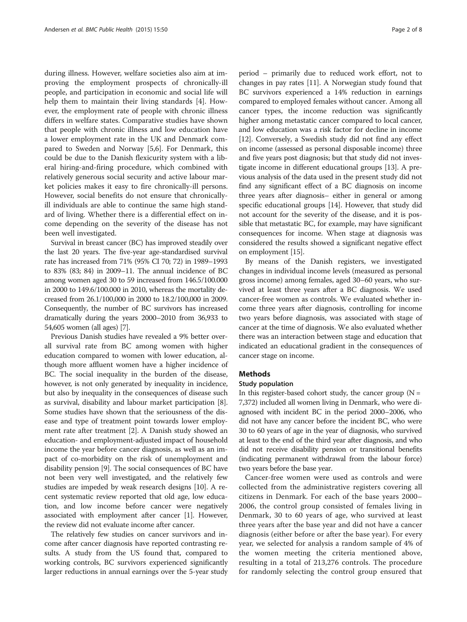during illness. However, welfare societies also aim at improving the employment prospects of chronically-ill people, and participation in economic and social life will help them to maintain their living standards [[4\]](#page-7-0). However, the employment rate of people with chronic illness differs in welfare states. Comparative studies have shown that people with chronic illness and low education have a lower employment rate in the UK and Denmark compared to Sweden and Norway [[5,6\]](#page-7-0). For Denmark, this could be due to the Danish flexicurity system with a liberal hiring-and-firing procedure, which combined with relatively generous social security and active labour market policies makes it easy to fire chronically-ill persons. However, social benefits do not ensure that chronicallyill individuals are able to continue the same high standard of living. Whether there is a differential effect on income depending on the severity of the disease has not been well investigated.

Survival in breast cancer (BC) has improved steadily over the last 20 years. The five-year age-standardised survival rate has increased from 71% (95% CI 70; 72) in 1989–1993 to 83% (83; 84) in 2009–11. The annual incidence of BC among women aged 30 to 59 increased from 146.5/100.000 in 2000 to 149.6/100.000 in 2010, whereas the mortality decreased from 26.1/100,000 in 2000 to 18.2/100,000 in 2009. Consequently, the number of BC survivors has increased dramatically during the years 2000–2010 from 36,933 to 54,605 women (all ages) [\[7\]](#page-7-0).

Previous Danish studies have revealed a 9% better overall survival rate from BC among women with higher education compared to women with lower education, although more affluent women have a higher incidence of BC. The social inequality in the burden of the disease, however, is not only generated by inequality in incidence, but also by inequality in the consequences of disease such as survival, disability and labour market participation [[8](#page-7-0)]. Some studies have shown that the seriousness of the disease and type of treatment point towards lower employment rate after treatment [\[2\]](#page-7-0). A Danish study showed an education- and employment-adjusted impact of household income the year before cancer diagnosis, as well as an impact of co-morbidity on the risk of unemployment and disability pension [\[9\]](#page-7-0). The social consequences of BC have not been very well investigated, and the relatively few studies are impeded by weak research designs [\[10](#page-7-0)]. A recent systematic review reported that old age, low education, and low income before cancer were negatively associated with employment after cancer [\[1\]](#page-7-0). However, the review did not evaluate income after cancer.

The relatively few studies on cancer survivors and income after cancer diagnosis have reported contrasting results. A study from the US found that, compared to working controls, BC survivors experienced significantly larger reductions in annual earnings over the 5-year study

period – primarily due to reduced work effort, not to changes in pay rates [\[11](#page-7-0)]. A Norwegian study found that BC survivors experienced a 14% reduction in earnings compared to employed females without cancer. Among all cancer types, the income reduction was significantly higher among metastatic cancer compared to local cancer, and low education was a risk factor for decline in income [[12](#page-7-0)]. Conversely, a Swedish study did not find any effect on income (assessed as personal disposable income) three and five years post diagnosis; but that study did not investigate income in different educational groups [[13](#page-7-0)]. A previous analysis of the data used in the present study did not find any significant effect of a BC diagnosis on income three years after diagnosis– either in general or among specific educational groups [[14](#page-7-0)]. However, that study did not account for the severity of the disease, and it is possible that metastatic BC, for example, may have significant consequences for income. When stage at diagnosis was considered the results showed a significant negative effect on employment [[15](#page-7-0)].

By means of the Danish registers, we investigated changes in individual income levels (measured as personal gross income) among females, aged 30–60 years, who survived at least three years after a BC diagnosis. We used cancer-free women as controls. We evaluated whether income three years after diagnosis, controlling for income two years before diagnosis, was associated with stage of cancer at the time of diagnosis. We also evaluated whether there was an interaction between stage and education that indicated an educational gradient in the consequences of cancer stage on income.

#### Methods

#### Study population

In this register-based cohort study, the cancer group  $(N =$ 7,372) included all women living in Denmark, who were diagnosed with incident BC in the period 2000–2006, who did not have any cancer before the incident BC, who were 30 to 60 years of age in the year of diagnosis, who survived at least to the end of the third year after diagnosis, and who did not receive disability pension or transitional benefits (indicating permanent withdrawal from the labour force) two years before the base year.

Cancer-free women were used as controls and were collected from the administrative registers covering all citizens in Denmark. For each of the base years 2000– 2006, the control group consisted of females living in Denmark, 30 to 60 years of age, who survived at least three years after the base year and did not have a cancer diagnosis (either before or after the base year). For every year, we selected for analysis a random sample of 4% of the women meeting the criteria mentioned above, resulting in a total of 213,276 controls. The procedure for randomly selecting the control group ensured that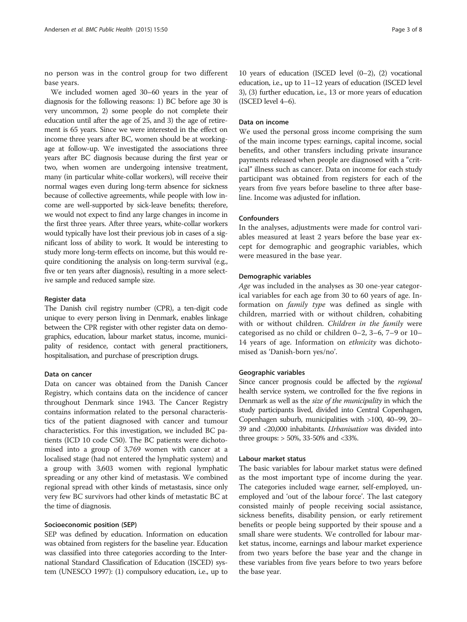no person was in the control group for two different base years.

We included women aged 30–60 years in the year of diagnosis for the following reasons: 1) BC before age 30 is very uncommon, 2) some people do not complete their education until after the age of 25, and 3) the age of retirement is 65 years. Since we were interested in the effect on income three years after BC, women should be at workingage at follow-up. We investigated the associations three years after BC diagnosis because during the first year or two, when women are undergoing intensive treatment, many (in particular white-collar workers), will receive their normal wages even during long-term absence for sickness because of collective agreements, while people with low income are well-supported by sick-leave benefits; therefore, we would not expect to find any large changes in income in the first three years. After three years, white-collar workers would typically have lost their previous job in cases of a significant loss of ability to work. It would be interesting to study more long-term effects on income, but this would require conditioning the analysis on long-term survival (e.g., five or ten years after diagnosis), resulting in a more selective sample and reduced sample size.

## Register data

The Danish civil registry number (CPR), a ten-digit code unique to every person living in Denmark, enables linkage between the CPR register with other register data on demographics, education, labour market status, income, municipality of residence, contact with general practitioners, hospitalisation, and purchase of prescription drugs.

## Data on cancer

Data on cancer was obtained from the Danish Cancer Registry, which contains data on the incidence of cancer throughout Denmark since 1943. The Cancer Registry contains information related to the personal characteristics of the patient diagnosed with cancer and tumour characteristics. For this investigation, we included BC patients (ICD 10 code C50). The BC patients were dichotomised into a group of 3,769 women with cancer at a localised stage (had not entered the lymphatic system) and a group with 3,603 women with regional lymphatic spreading or any other kind of metastasis. We combined regional spread with other kinds of metastasis, since only very few BC survivors had other kinds of metastatic BC at the time of diagnosis.

## Socioeconomic position (SEP)

SEP was defined by education. Information on education was obtained from registers for the baseline year. Education was classified into three categories according to the International Standard Classification of Education (ISCED) system (UNESCO 1997): (1) compulsory education, i.e., up to

10 years of education (ISCED level (0–2), (2) vocational education, i.e., up to 11–12 years of education (ISCED level 3), (3) further education, i.e., 13 or more years of education (ISCED level 4–6).

#### Data on income

We used the personal gross income comprising the sum of the main income types: earnings, capital income, social benefits, and other transfers including private insurance payments released when people are diagnosed with a "critical" illness such as cancer. Data on income for each study participant was obtained from registers for each of the years from five years before baseline to three after baseline. Income was adjusted for inflation.

## **Confounders**

In the analyses, adjustments were made for control variables measured at least 2 years before the base year except for demographic and geographic variables, which were measured in the base year.

#### Demographic variables

Age was included in the analyses as 30 one-year categorical variables for each age from 30 to 60 years of age. Information on family type was defined as single with children, married with or without children, cohabiting with or without children. Children in the family were categorised as no child or children 0–2, 3–6, 7–9 or 10– 14 years of age. Information on ethnicity was dichotomised as 'Danish-born yes/no'.

#### Geographic variables

Since cancer prognosis could be affected by the *regional* health service system, we controlled for the five regions in Denmark as well as the size of the municipality in which the study participants lived, divided into Central Copenhagen, Copenhagen suburb, municipalities with >100, 40–99, 20– 39 and <20,000 inhabitants. Urbanisation was divided into three groups: > 50%, 33-50% and <33%.

#### Labour market status

The basic variables for labour market status were defined as the most important type of income during the year. The categories included wage earner, self-employed, unemployed and 'out of the labour force'. The last category consisted mainly of people receiving social assistance, sickness benefits, disability pension, or early retirement benefits or people being supported by their spouse and a small share were students. We controlled for labour market status, income, earnings and labour market experience from two years before the base year and the change in these variables from five years before to two years before the base year.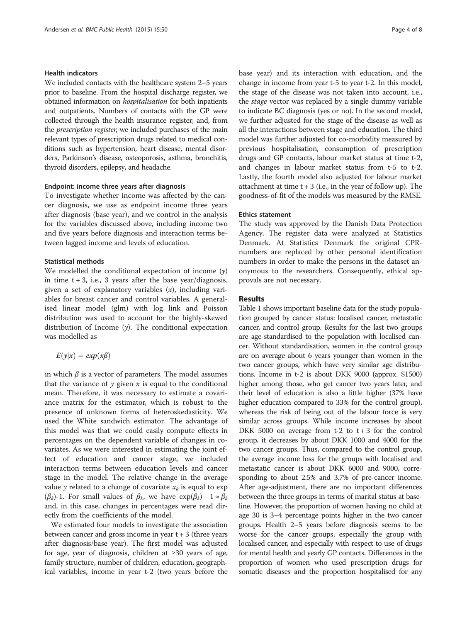#### Health indicators

We included contacts with the healthcare system 2–5 years prior to baseline. From the hospital discharge register, we obtained information on hospitalisation for both inpatients and outpatients. Numbers of contacts with the GP were collected through the health insurance register; and, from the prescription register, we included purchases of the main relevant types of prescription drugs related to medical conditions such as hypertension, heart disease, mental disorders, Parkinson's disease, osteoporosis, asthma, bronchitis, thyroid disorders, epilepsy, and headache.

#### Endpoint: income three years after diagnosis

To investigate whether income was affected by the cancer diagnosis, we use as endpoint income three years after diagnosis (base year), and we control in the analysis for the variables discussed above, including income two and five years before diagnosis and interaction terms between lagged income and levels of education.

## Statistical methods

We modelled the conditional expectation of income  $(y)$ in time  $t + 3$ , i.e., 3 years after the base year/diagnosis, given a set of explanatory variables  $(x)$ , including variables for breast cancer and control variables. A generalised linear model (glm) with log link and Poisson distribution was used to account for the highly-skewed distribution of Income  $(y)$ . The conditional expectation was modelled as

$$
E(y|x) = exp(x\beta)
$$

in which  $β$  is a vector of parameters. The model assumes that the variance of  $y$  given  $x$  is equal to the conditional mean. Therefore, it was necessary to estimate a covariance matrix for the estimator, which is robust to the presence of unknown forms of heteroskedasticity. We used the White sandwich estimator. The advantage of this model was that we could easily compute effects in percentages on the dependent variable of changes in covariates. As we were interested in estimating the joint effect of education and cancer stage, we included interaction terms between education levels and cancer stage in the model. The relative change in the average value y related to a change of covariate  $x_k$  is equal to exp  $(\beta_k)$ -1. For small values of  $\beta_k$ , we have  $\exp(\beta_k) - 1 \approx \beta_k$ and, in this case, changes in percentages were read directly from the coefficients of the model.

We estimated four models to investigate the association between cancer and gross income in year  $t + 3$  (three years after diagnosis/base year). The first model was adjusted for age, year of diagnosis, children at ≥30 years of age, family structure, number of children, education, geographical variables, income in year t-2 (two years before the base year) and its interaction with education, and the change in income from year t-5 to year t-2. In this model, the stage of the disease was not taken into account, i.e., the *stage* vector was replaced by a single dummy variable to indicate BC diagnosis (yes or no). In the second model, we further adjusted for the stage of the disease as well as all the interactions between stage and education. The third model was further adjusted for co-morbidity measured by previous hospitalisation, consumption of prescription drugs and GP contacts, labour market status at time t-2, and changes in labour market status from t-5 to t-2. Lastly, the fourth model also adjusted for labour market attachment at time  $t + 3$  (i.e., in the year of follow up). The goodness-of-fit of the models was measured by the RMSE.

#### Ethics statement

The study was approved by the Danish Data Protection Agency. The register data were analyzed at Statistics Denmark. At Statistics Denmark the original CPRnumbers are replaced by other personal identification numbers in order to make the persons in the dataset anonymous to the researchers. Consequently, ethical approvals are not necessary.

#### Results

Table [1](#page-4-0) shows important baseline data for the study population grouped by cancer status: localised cancer, metastatic cancer, and control group. Results for the last two groups are age-standardised to the population with localised cancer. Without standardisation, women in the control group are on average about 6 years younger than women in the two cancer groups, which have very similar age distributions. Income in t-2 is about DKK 9000 (approx. \$1500) higher among those, who get cancer two years later, and their level of education is also a little higher (37% have higher education compared to 33% for the control group), whereas the risk of being out of the labour force is very similar across groups. While income increases by about DKK 5000 on average from  $t-2$  to  $t+3$  for the control group, it decreases by about DKK 1000 and 4000 for the two cancer groups. Thus, compared to the control group, the average income loss for the groups with localised and metastatic cancer is about DKK 6000 and 9000, corresponding to about 2.5% and 3.7% of pre-cancer income. After age-adjustment, there are no important differences between the three groups in terms of marital status at baseline. However, the proportion of women having no child at age 30 is 3–4 percentage points higher in the two cancer groups. Health 2–5 years before diagnosis seems to be worse for the cancer groups, especially the group with localised cancer, and especially with respect to use of drugs for mental health and yearly GP contacts. Differences in the proportion of women who used prescription drugs for somatic diseases and the proportion hospitalised for any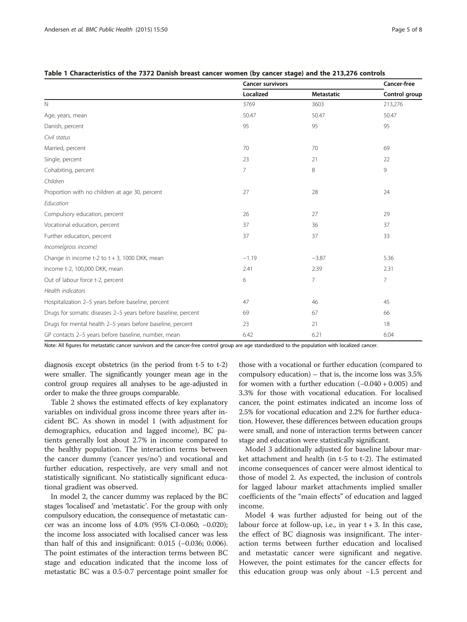|                                                               | <b>Cancer survivors</b> |                   | Cancer-free    |  |
|---------------------------------------------------------------|-------------------------|-------------------|----------------|--|
|                                                               | Localized               | <b>Metastatic</b> | Control group  |  |
| $\mathbb N$                                                   | 3769                    | 3603              | 213,276        |  |
| Age, years, mean                                              | 50.47                   | 50.47             | 50.47          |  |
| Danish, percent                                               | 95                      | 95                | 95             |  |
| Civil status                                                  |                         |                   |                |  |
| Married, percent                                              | 70                      | 70                | 69             |  |
| Single, percent                                               | 23                      | 21                | 22             |  |
| Cohabiting, percent                                           | 7                       | 8                 | 9              |  |
| Children                                                      |                         |                   |                |  |
| Proportion with no children at age 30, percent                | 27                      | 28                | 24             |  |
| Education                                                     |                         |                   |                |  |
| Compulsory education, percent                                 | 26                      | 27                | 29             |  |
| Vocational education, percent                                 | 37                      | 36                | 37             |  |
| Further education, percent                                    | 37                      | 37                | 33             |  |
| Income(gross income)                                          |                         |                   |                |  |
| Change in income t-2 to $t + 3$ , 1000 DKK, mean              | $-1.19$                 | $-3.87$           | 5.36           |  |
| Income t-2, 100,000 DKK, mean                                 | 2.41                    | 2.39              | 2.31           |  |
| Out of labour force t-2, percent                              | 6                       | 7                 | $\overline{7}$ |  |
| Health indicators                                             |                         |                   |                |  |
| Hospitalization 2-5 years before baseline, percent            | 47                      | 46                | 45             |  |
| Drugs for somatic diseases 2-5 years before baseline, percent | 69                      | 67                | 66             |  |
| Drugs for mental health 2-5 years before baseline, percent    | 23                      | 21                | 18             |  |
| GP contacts 2-5 years before baseline, number, mean           | 6.42                    | 6.21              | 6.04           |  |

#### <span id="page-4-0"></span>Table 1 Characteristics of the 7372 Danish breast cancer women (by cancer stage) and the 213,276 controls

Note: All figures for metastatic cancer survivors and the cancer-free control group are age standardized to the population with localized cancer.

diagnosis except obstetrics (in the period from t-5 to t-2) were smaller. The significantly younger mean age in the control group requires all analyses to be age-adjusted in order to make the three groups comparable.

Table [2](#page-5-0) shows the estimated effects of key explanatory variables on individual gross income three years after incident BC. As shown in model 1 (with adjustment for demographics, education and lagged income), BC patients generally lost about 2.7% in income compared to the healthy population. The interaction terms between the cancer dummy ('cancer yes/no') and vocational and further education, respectively, are very small and not statistically significant. No statistically significant educational gradient was observed.

In model 2, the cancer dummy was replaced by the BC stages 'localised' and 'metastatic'. For the group with only compulsory education, the consequence of metastatic cancer was an income loss of 4.0% (95% CI-0.060; −0.020); the income loss associated with localised cancer was less than half of this and insignificant: 0.015 (−0.036; 0.006). The point estimates of the interaction terms between BC stage and education indicated that the income loss of metastatic BC was a 0.5-0.7 percentage point smaller for

those with a vocational or further education (compared to compulsory education) – that is, the income loss was 3.5% for women with a further education (−0.040 + 0.005) and 3.3% for those with vocational education. For localised cancer, the point estimates indicated an income loss of 2.5% for vocational education and 2.2% for further education. However, these differences between education groups were small, and none of interaction terms between cancer stage and education were statistically significant.

Model 3 additionally adjusted for baseline labour market attachment and health (in t-5 to t-2). The estimated income consequences of cancer were almost identical to those of model 2. As expected, the inclusion of controls for lagged labour market attachments implied smaller coefficients of the "main effects" of education and lagged income.

Model 4 was further adjusted for being out of the labour force at follow-up, i.e., in year  $t + 3$ . In this case, the effect of BC diagnosis was insignificant. The interaction terms between further education and localised and metastatic cancer were significant and negative. However, the point estimates for the cancer effects for this education group was only about −1.5 percent and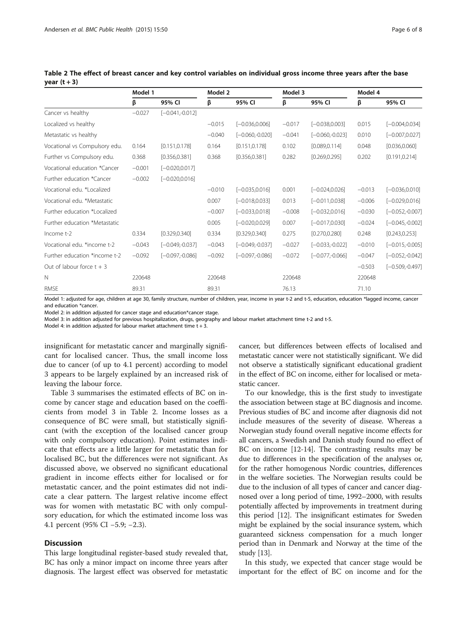|                               | Model 1  |                    | Model 2  |                    | Model 3  |                   | Model 4  |                   |
|-------------------------------|----------|--------------------|----------|--------------------|----------|-------------------|----------|-------------------|
|                               | β        | 95% CI             | β        | 95% CI             | β        | 95% CI            | β        | 95% CI            |
| Cancer vs healthy             | $-0.027$ | $[-0.041,-0.012]$  |          |                    |          |                   |          |                   |
| Localized vs healthy          |          |                    | $-0.015$ | $[-0.036, 0.006]$  | $-0.017$ | $[-0.038, 0.003]$ | 0.015    | $[-0.004, 0.034]$ |
| Metastatic vs healthy         |          |                    | $-0.040$ | $[-0.060,-0.020]$  | $-0.041$ | $[-0.060,-0.023]$ | 0.010    | $[-0.007, 0.027]$ |
| Vocational vs Compulsory edu. | 0.164    | [0.151, 0.178]     | 0.164    | [0.151, 0.178]     | 0.102    | [0.089, 0.114]    | 0.048    | [0.036, 0.060]    |
| Further vs Compulsory edu.    | 0.368    | [0.356, 0.381]     | 0.368    | [0.356, 0.381]     | 0.282    | [0.269, 0.295]    | 0.202    | [0.191, 0.214]    |
| Vocational education *Cancer  | $-0.001$ | $[-0.020, 0.017]$  |          |                    |          |                   |          |                   |
| Further education *Cancer     | $-0.002$ | $[-0.020, 0.016]$  |          |                    |          |                   |          |                   |
| Vocational edu. *Localized    |          |                    | $-0.010$ | $[-0.035, 0.016]$  | 0.001    | $[-0.024, 0.026]$ | $-0.013$ | $[-0.036, 0.010]$ |
| Vocational edu. *Metastatic   |          |                    | 0.007    | $[-0.018, 0.033]$  | 0.013    | $[-0.011, 0.038]$ | $-0.006$ | $[-0.029, 0.016]$ |
| Further education *Localized  |          |                    | $-0.007$ | $[-0.033, 0.018]$  | $-0.008$ | $[-0.032, 0.016]$ | $-0.030$ | $[-0.052,-0.007]$ |
| Further education *Metastatic |          |                    | 0.005    | $[-0.020, 0.029]$  | 0.007    | $[-0.017, 0.030]$ | $-0.024$ | $[-0.045,-0.002]$ |
| Income t-2                    | 0.334    | [0.329, 0.340]     | 0.334    | [0.329, 0.340]     | 0.275    | [0.270, 0.280]    | 0.248    | [0.243, 0.253]    |
| Vocational edu. *income t-2   | $-0.043$ | $[-0.049,-0.037]$  | $-0.043$ | $[-0.049,-0.037]$  | $-0.027$ | $[-0.033,-0.022]$ | $-0.010$ | $[-0.015,-0.005]$ |
| Further education *income t-2 | $-0.092$ | $[-0.097, -0.086]$ | $-0.092$ | $[-0.097, -0.086]$ | $-0.072$ | $[-0.077,-0.066]$ | $-0.047$ | $[-0.052,-0.042]$ |
| Out of labour force $t + 3$   |          |                    |          |                    |          |                   | $-0.503$ | $[-0.509,-0.497]$ |
| $\mathbb N$                   | 220648   |                    | 220648   |                    | 220648   |                   | 220648   |                   |
| <b>RMSE</b>                   | 89.31    |                    | 89.31    |                    | 76.13    |                   | 71.10    |                   |

<span id="page-5-0"></span>Table 2 The effect of breast cancer and key control variables on individual gross income three years after the base year  $(t + 3)$ 

Model 1: adjusted for age, children at age 30, family structure, number of children, year, income in year t-2 and t-5, education, education \*lagged income, cancer and education \*cancer.

Model 2: in addition adjusted for cancer stage and education\*cancer stage.

Model 3: in addition adjusted for previous hospitalization, drugs, geography and labour market attachment time t-2 and t-5.

Model 4: in addition adjusted for labour market attachment time  $t + 3$ .

insignificant for metastatic cancer and marginally significant for localised cancer. Thus, the small income loss due to cancer (of up to 4.1 percent) according to model 3 appears to be largely explained by an increased risk of leaving the labour force.

Table [3](#page-6-0) summarises the estimated effects of BC on income by cancer stage and education based on the coefficients from model 3 in Table 2. Income losses as a consequence of BC were small, but statistically significant (with the exception of the localised cancer group with only compulsory education). Point estimates indicate that effects are a little larger for metastatic than for localised BC, but the differences were not significant. As discussed above, we observed no significant educational gradient in income effects either for localised or for metastatic cancer, and the point estimates did not indicate a clear pattern. The largest relative income effect was for women with metastatic BC with only compulsory education, for which the estimated income loss was 4.1 percent (95% CI −5.9; −2.3).

## Discussion

This large longitudinal register-based study revealed that, BC has only a minor impact on income three years after diagnosis. The largest effect was observed for metastatic cancer, but differences between effects of localised and metastatic cancer were not statistically significant. We did not observe a statistically significant educational gradient in the effect of BC on income, either for localised or metastatic cancer.

To our knowledge, this is the first study to investigate the association between stage at BC diagnosis and income. Previous studies of BC and income after diagnosis did not include measures of the severity of disease. Whereas a Norwegian study found overall negative income effects for all cancers, a Swedish and Danish study found no effect of BC on income [\[12-14\]](#page-7-0). The contrasting results may be due to differences in the specification of the analyses or, for the rather homogenous Nordic countries, differences in the welfare societies. The Norwegian results could be due to the inclusion of all types of cancer and cancer diagnosed over a long period of time, 1992–2000, with results potentially affected by improvements in treatment during this period [\[12\]](#page-7-0). The insignificant estimates for Sweden might be explained by the social insurance system, which guaranteed sickness compensation for a much longer period than in Denmark and Norway at the time of the study [[13\]](#page-7-0).

In this study, we expected that cancer stage would be important for the effect of BC on income and for the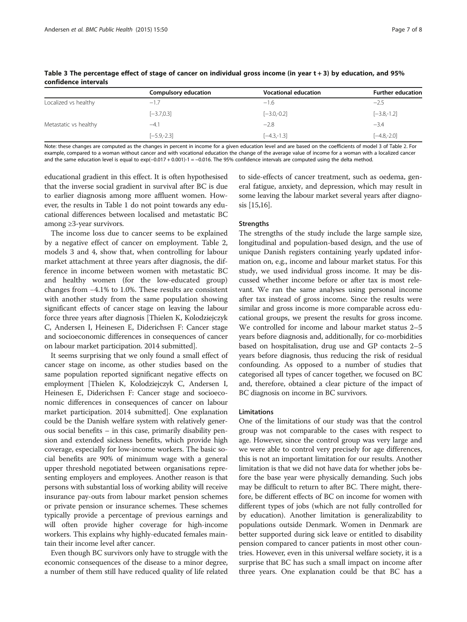|                       | Compulsory education | <b>Vocational education</b> | <b>Further education</b> |
|-----------------------|----------------------|-----------------------------|--------------------------|
| Localized vs healthy  | $-1.7$               | $-1.6$                      | $-2.5$                   |
|                       | $[-3.7, 0.3]$        | $[-3.0,-0.2]$               | $[-3.8,-1.2]$            |
| Metastatic vs healthy | $-4.1$               | $-2.8$                      | $-3.4$                   |
|                       | $[-5.9 - 2.3]$       | $[-4.3 - 1.3]$              | $[-4.8,-2.0]$            |

<span id="page-6-0"></span>Table 3 The percentage effect of stage of cancer on individual gross income (in year t + 3) by education, and 95% confidence intervals

Note: these changes are computed as the changes in percent in income for a given education level and are based on the coefficients of model 3 of Table [2.](#page-5-0) For example, compared to a woman without cancer and with vocational education the change of the average value of income for a woman with a localized cancer and the same education level is equal to exp(-0.017 + 0.001)-1 = -0.016. The 95% confidence intervals are computed using the delta method.

educational gradient in this effect. It is often hypothesised that the inverse social gradient in survival after BC is due to earlier diagnosis among more affluent women. However, the results in Table [1](#page-4-0) do not point towards any educational differences between localised and metastatic BC among ≥3-year survivors.

The income loss due to cancer seems to be explained by a negative effect of cancer on employment. Table [2](#page-5-0), models 3 and 4, show that, when controlling for labour market attachment at three years after diagnosis, the difference in income between women with metastatic BC and healthy women (for the low-educated group) changes from −4.1% to 1.0%. These results are consistent with another study from the same population showing significant effects of cancer stage on leaving the labour force three years after diagnosis [Thielen K, Kolodziejczyk C, Andersen I, Heinesen E, Diderichsen F: Cancer stage and socioeconomic differences in consequences of cancer on labour market participation. 2014 submitted].

It seems surprising that we only found a small effect of cancer stage on income, as other studies based on the same population reported significant negative effects on employment [Thielen K, Kolodziejczyk C, Andersen I, Heinesen E, Diderichsen F: Cancer stage and socioeconomic differences in consequences of cancer on labour market participation. 2014 submitted]. One explanation could be the Danish welfare system with relatively generous social benefits – in this case, primarily disability pension and extended sickness benefits, which provide high coverage, especially for low-income workers. The basic social benefits are 90% of minimum wage with a general upper threshold negotiated between organisations representing employers and employees. Another reason is that persons with substantial loss of working ability will receive insurance pay-outs from labour market pension schemes or private pension or insurance schemes. These schemes typically provide a percentage of previous earnings and will often provide higher coverage for high-income workers. This explains why highly-educated females maintain their income level after cancer.

Even though BC survivors only have to struggle with the economic consequences of the disease to a minor degree, a number of them still have reduced quality of life related

to side-effects of cancer treatment, such as oedema, general fatigue, anxiety, and depression, which may result in some leaving the labour market several years after diagnosis [\[15,16\]](#page-7-0).

#### **Strengths**

The strengths of the study include the large sample size, longitudinal and population-based design, and the use of unique Danish registers containing yearly updated information on, e.g., income and labour market status. For this study, we used individual gross income. It may be discussed whether income before or after tax is most relevant. We ran the same analyses using personal income after tax instead of gross income. Since the results were similar and gross income is more comparable across educational groups, we present the results for gross income. We controlled for income and labour market status 2–5 years before diagnosis and, additionally, for co-morbidities based on hospitalisation, drug use and GP contacts 2–5 years before diagnosis, thus reducing the risk of residual confounding. As opposed to a number of studies that categorised all types of cancer together, we focused on BC and, therefore, obtained a clear picture of the impact of BC diagnosis on income in BC survivors.

#### Limitations

One of the limitations of our study was that the control group was not comparable to the cases with respect to age. However, since the control group was very large and we were able to control very precisely for age differences, this is not an important limitation for our results. Another limitation is that we did not have data for whether jobs before the base year were physically demanding. Such jobs may be difficult to return to after BC. There might, therefore, be different effects of BC on income for women with different types of jobs (which are not fully controlled for by education). Another limitation is generalizability to populations outside Denmark. Women in Denmark are better supported during sick leave or entitled to disability pension compared to cancer patients in most other countries. However, even in this universal welfare society, it is a surprise that BC has such a small impact on income after three years. One explanation could be that BC has a